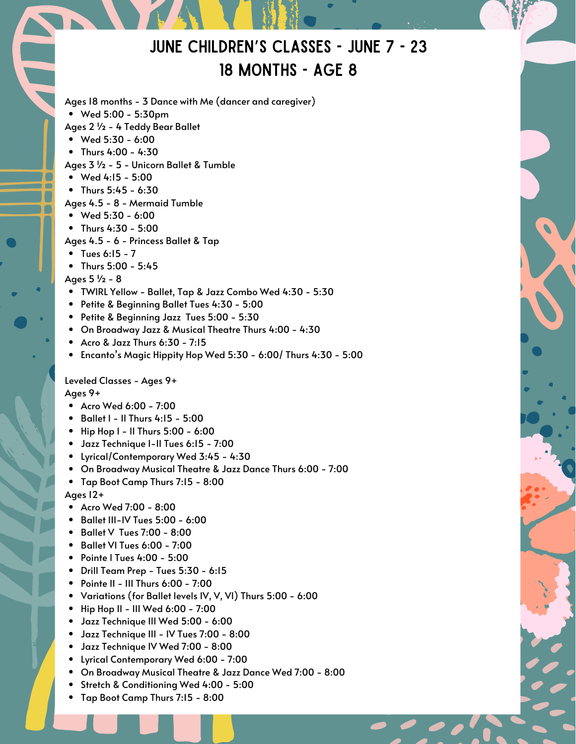# June Children's Classes - June 7 - 23 18 MONTHS - AGE 8

Wed 5:00 - 5:30pm Ages 18 months - 3 Dance with Me (dancer and caregiver) Ages 2 ½ - 4 Teddy Bear Ballet

- Wed 5:30 6:00
- Thurs  $4:00 4:30$

Ages 3 ½ - 5 - Unicorn Ballet & Tumble

- Wed 4:15 5:00
- Thurs 5:45 6:30
- Ages 4.5 8 Mermaid Tumble
- $\bullet$  Wed 5:30 6:00
- Thurs 4:30 5:00
- Ages 4.5 6 Princess Ballet & Tap
- $\bullet$  Tues 6:15 7
- $\bullet$  Thurs 5:00 5:45
- Ages 5 ½ 8
- TWIRL Yellow Ballet, Tap & Jazz Combo Wed 4:30 5:30
- Petite & Beginning Ballet Tues 4:30 5:00
- Petite & Beginning Jazz Tues 5:00 5:30
- On Broadway Jazz & Musical Theatre Thurs 4:00 4:30
- $\bullet$  Acro & Jazz Thurs 6:30 7:15
- $\bullet$  Encanto's Magic Hippity Hop Wed 5:30 6:00/ Thurs 4:30 5:00

Leveled Classes - Ages 9+

Ages 9+

- Acro Wed 6:00 7:00
- $\bullet$  Ballet I II Thurs 4:15 5:00
- $\bullet$  Hip Hop I II Thurs 5:00 6:00
- Jazz Technique I-II Tues 6:15 7:00
- Lyrical/Contemporary Wed 3:45 4:30
- On Broadway Musical Theatre & Jazz Dance Thurs 6:00 7:00
- Tap Boot Camp Thurs 7:15 8:00

### Ages 12+

- Acro Wed 7:00 8:00
- Ballet III-IV Tues 5:00 6:00
- Ballet V Tues 7:00 8:00
- Ballet VI Tues 6:00 7:00
- Pointe I Tues 4:00 5:00
- Drill Team Prep Tues 5:30 6:15
- $\bullet$  Pointe II III Thurs 6:00 7:00
- Variations (for Ballet levels IV, V, VI) Thurs 5:00 6:00
- Hip Hop II III Wed 6:00 7:00
- Jazz Technique III Wed 5:00 6:00
- Jazz Technique III IV Tues 7:00 8:00
- Jazz Technique IV Wed 7:00 8:00
- Lyrical Contemporary Wed 6:00 7:00
- On Broadway Musical Theatre & Jazz Dance Wed 7:00 8:00
- Stretch & Conditioning Wed 4:00 5:00
- Tap Boot Camp Thurs 7:15 8:00